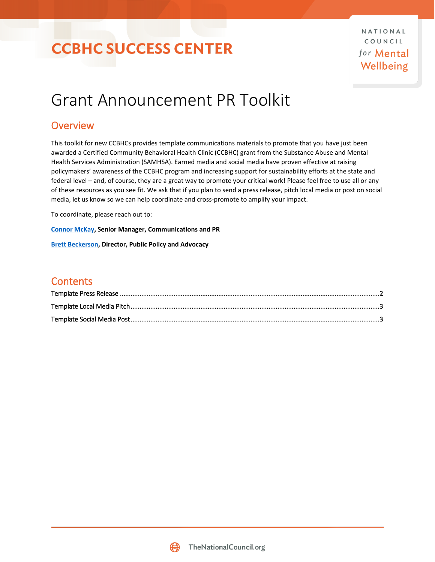## **CCBHC SUCCESS CENTER**

NATIONAL COUNCIL for Mental Wellbeing

## Grant Announcement PR Toolkit

### **Overview**

This toolkit for new CCBHCs provides template communications materials to promote that you have just been awarded a Certified Community Behavioral Health Clinic (CCBHC) grant from the Substance Abuse and Mental Health Services Administration (SAMHSA). Earned media and social media have proven effective at raising policymakers' awareness of the CCBHC program and increasing support for sustainability efforts at the state and federal level – and, of course, they are a great way to promote your critical work! Please feel free to use all or any of these resources as you see fit. We ask that if you plan to send a press release, pitch local media or post on social media, let us know so we can help coordinate and cross-promote to amplify your impact.

To coordinate, please reach out to:

**[Connor McKay,](mailto:ConnorM@TheNationalCouncil.org) Senior Manager, Communications and PR**

**[Brett Beckerson,](mailto:BrettB@TheNationalCouncil.org) Director, Public Policy and Advocacy**

### **Contents**

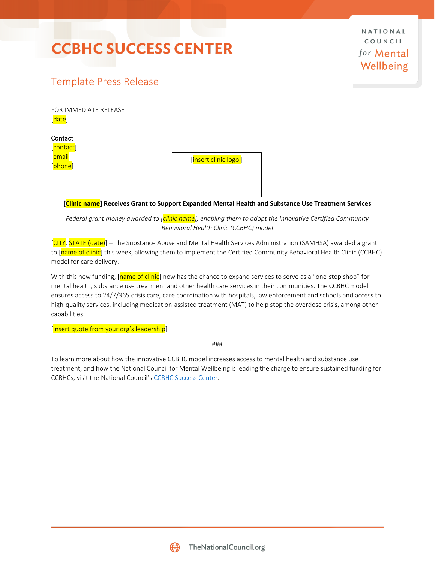## **CCBHC SUCCESS CENTER**

NATIONAL COUNCIL for Mental Wellbeing

### <span id="page-1-0"></span>Template Press Release

FOR IMMEDIATE RELEASE [date]

Contact [contact] [email] [phone]

[insert clinic logo]

**[Clinic name] Receives Grant to Support Expanded Mental Health and Substance Use Treatment Services**

*Federal grant money awarded to [clinic name], enabling them to adopt the innovative Certified Community Behavioral Health Clinic (CCBHC) model*

[CITY, STATE (date)] – The Substance Abuse and Mental Health Services Administration (SAMHSA) awarded a grant to [name of clinic] this week, allowing them to implement the Certified Community Behavioral Health Clinic (CCBHC) model for care delivery.

With this new funding, [name of clinic] now has the chance to expand services to serve as a "one-stop shop" for mental health, substance use treatment and other health care services in their communities. The CCBHC model ensures access to 24/7/365 crisis care, care coordination with hospitals, law enforcement and schools and access to high-quality services, including medication-assisted treatment (MAT) to help stop the overdose crisis, among other capabilities.

[Insert quote from your org's leadership]

###

To learn more about how the innovative CCBHC model increases access to mental health and substance use treatment, and how the National Council for Mental Wellbeing is leading the charge to ensure sustained funding for CCBHCs, visit the National Council's [CCBHC Success](https://www.thenationalcouncil.org/ccbhc-success-center/ccbhcta-overview/) Center.